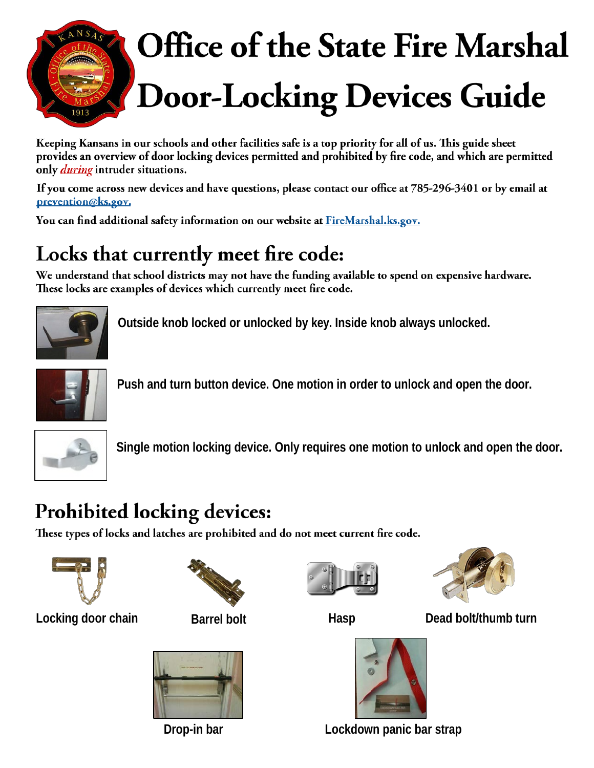

Keeping Kansans in our schools and other facilities safe is a top priority for all of us. This guide sheet provides an overview of door locking devices permitted and prohibited by fire code, and which are permitted only *during* intruder situations.

If you come across new devices and have questions, please contact our office at 785-296-3401 or by email at prevention@ks.gov.

You can find additional safety information on our website at FireMarshal.ks.gov.

## Locks that currently meet fire code:

We understand that school districts may not have the funding available to spend on expensive hardware. These locks are examples of devices which currently meet fire code.



**Outside knob locked or unlocked by key. Inside knob always unlocked.**



**Push and turn button device. One motion in order to unlock and open the door.**



**Single motion locking device. Only requires one motion to unlock and open the door.**

## **Prohibited locking devices:**

These types of locks and latches are prohibited and do not meet current fire code.









**Barrel bolt**

**Locking door chain Barrel bolt Hasp Dead bolt/thumb turn** 





**Drop-in bar Lockdown panic bar strap**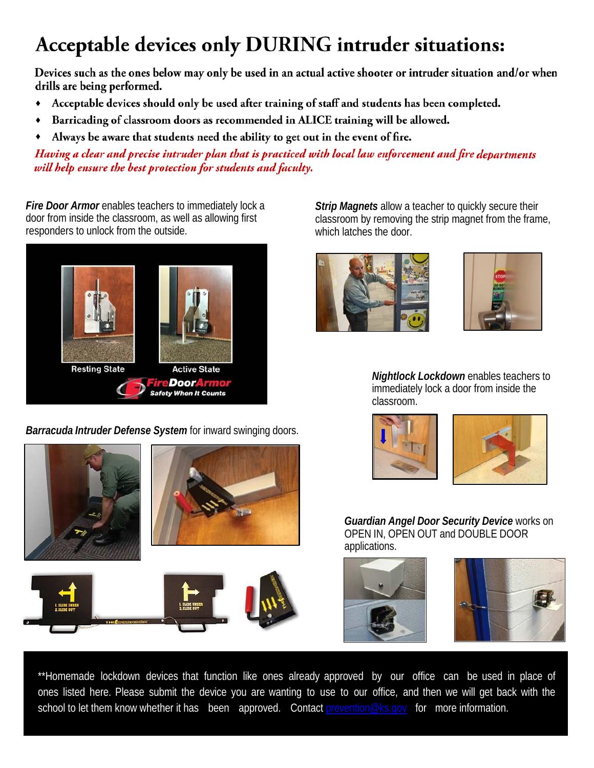## Acceptable devices only DURING intruder situations:

Devices such as the ones below may only be used in an actual active shooter or intruder situation and/or when drills are being performed.

- Acceptable devices should only be used after training of staff and students has been completed. ♦
- Barricading of classroom doors as recommended in ALICE training will be allowed. ♦
- Always be aware that students need the ability to get out in the event of fire. ♦

Having a clear and precise intruder plan that is practiced with local law enforcement and fire departments will help ensure the best protection for students and faculty.

*Fire Door Armor* enables teachers to immediately lock a door from inside the classroom, as well as allowing first responders to unlock from the outside.



*Strip Magnets* allow a teacher to quickly secure their classroom by removing the strip magnet from the frame, which latches the door.





*Nightlock Lockdown* enables teachers to immediately lock a door from inside the classroom.





*Guardian Angel Door Security Device* works on OPEN IN, OPEN OUT and DOUBLE DOOR applications.





\*\*Homemade lockdown devices that function like ones already approved by our office can be used in place of ones listed here. Please submit the device you are wanting to use to our office, and then we will get back with the school to let them know whether it has been approved. Contact [prevention@ks.gov](mailto:prevention@ks.gov) for more information.